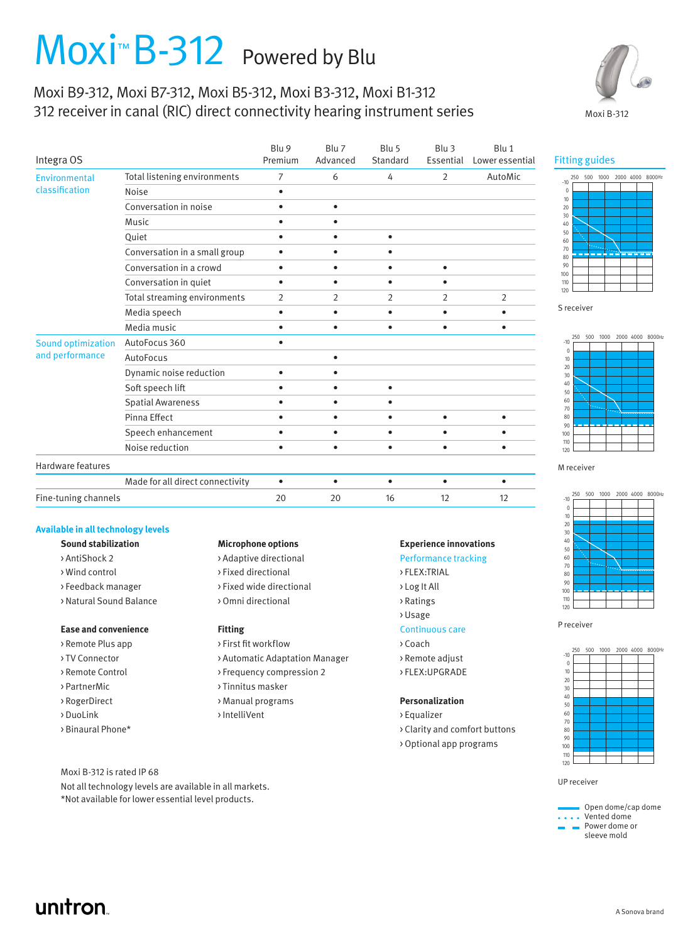# Moxi<sup>™</sup> B-312 Powered by Blu

## Moxi B9-312, Moxi B7-312, Moxi B5-312, Moxi B3-312, Moxi B1-312 312 receiver in canal (RIC) direct connectivity hearing instrument series



| Integra OS                            |                                  | Blu 9<br>Premium | Blu 7<br>Advanced | Blu 5<br>Standard | Blu <sub>3</sub><br>Essential | Blu 1<br>Lower essential |
|---------------------------------------|----------------------------------|------------------|-------------------|-------------------|-------------------------------|--------------------------|
| Environmental<br>classification       | Total listening environments     | 7                | 6                 | 4                 | 2                             | AutoMic                  |
|                                       | Noise                            | $\bullet$        |                   |                   |                               |                          |
|                                       | Conversation in noise            | $\bullet$        | $\bullet$         |                   |                               |                          |
|                                       | Music                            | $\bullet$        | $\bullet$         |                   |                               |                          |
|                                       | Quiet                            | $\bullet$        | ٠                 | $\bullet$         |                               |                          |
|                                       | Conversation in a small group    |                  |                   |                   |                               |                          |
|                                       | Conversation in a crowd          | $\bullet$        | $\bullet$         | $\bullet$         | $\bullet$                     |                          |
|                                       | Conversation in quiet            | $\bullet$        | ٠                 | ٠                 | ٠                             |                          |
|                                       | Total streaming environments     | 2                | 2                 | 2                 | 2                             | 2                        |
|                                       | Media speech                     | $\bullet$        | $\bullet$         | $\bullet$         | ٠                             | ٠                        |
|                                       | Media music                      | $\bullet$        | $\bullet$         | $\bullet$         | $\bullet$                     | $\bullet$                |
| Sound optimization<br>and performance | AutoFocus 360                    | $\bullet$        |                   |                   |                               |                          |
|                                       | AutoFocus                        |                  | $\bullet$         |                   |                               |                          |
|                                       | Dynamic noise reduction          | $\bullet$        | ٠                 |                   |                               |                          |
|                                       | Soft speech lift                 | $\bullet$        | $\bullet$         | $\bullet$         |                               |                          |
|                                       | <b>Spatial Awareness</b>         | ٠                | ٠                 | ٠                 |                               |                          |
|                                       | Pinna Effect                     |                  |                   |                   |                               |                          |
|                                       | Speech enhancement               | ٠                | ٠                 | $\bullet$         | ٠                             | ٠                        |
|                                       | Noise reduction                  | ٠                | $\bullet$         | $\bullet$         | ٠                             | ٠                        |
| Hardware features                     |                                  |                  |                   |                   |                               |                          |
|                                       | Made for all direct connectivity | $\bullet$        | $\bullet$         | $\bullet$         | ٠                             | ٠                        |
| Fine-tuning channels                  |                                  | 20               | 20                | 16                | 12                            | 12                       |

### **Available in all technology levels**

|  |  |  | Sound stabilizatioı |
|--|--|--|---------------------|
|--|--|--|---------------------|

- 
- 
- 
- > Natural Sound Balance > Omni directional > > > Ratings

### **Ease and convenience Fitting Fitting** Continuous care

- > Remote Plus app > > First fit workflow > Coach > Coach
- 
- 
- 
- 
- 
- 

Moxi B-312 is rated IP 68

Not all technology levels are available in all markets. \*Not available for lower essential level products.

### **Sound stabilization Microphone options Experience innovations**

- > AntiShock 2 > > Adaptive directional > > Performance tracking
- > Wind control > Fixed directional > FLEX:TRIAL
- >Feedback manager > Fixed wide directional >>Log It All
	-

- > TV Connector > > Automatic Adaptation Manager > Remote adjust
- > Remote Control > Frequency compression 2 > FLEX:UPGRADE
- > PartnerMic > Tinnitus masker
- > RogerDirect > Manual programs **Personalization**
- > DuoLink > IntelliVent > IntelliVent > Equalizer

- 
- 
- 
- 
- > Usage
- 
- 
- 
- 

- 
- > Binaural Phone\* > Clarity and comfort buttons
	- > Optional app programs

# Fitting guides



S receiver



M receiver



P receiver



UP receiver

 Open dome/cap dome • Vented dome Power dome or sleeve mold

# unitron